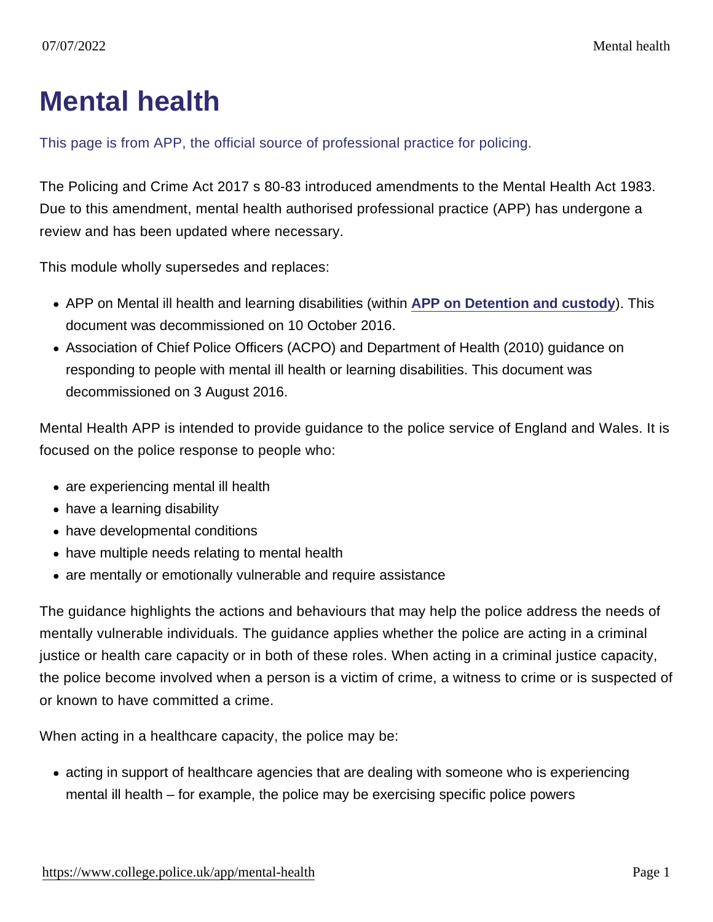## Mental health

This page is from APP, the official source of professional practice for policing.

The Policing and Crime Act 2017 s 80-83 introduced amendments to the Mental Health Act 1983. Due to this amendment, mental health authorised professional practice (APP) has undergone a review and has been updated where necessary.

This module wholly supersedes and replaces:

- APP on Mental ill health and learning disabilities (within [APP on Detention and custody](https://www.college.police.uk/app/detention-and-custody) ). This document was decommissioned on 10 October 2016.
- Association of Chief Police Officers (ACPO) and Department of Health (2010) guidance on responding to people with mental ill health or learning disabilities. This document was decommissioned on 3 August 2016.

Mental Health APP is intended to provide guidance to the police service of England and Wales. It is focused on the police response to people who:

- are experiencing mental ill health
- have a learning disability
- have developmental conditions
- have multiple needs relating to mental health
- are mentally or emotionally vulnerable and require assistance

The guidance highlights the actions and behaviours that may help the police address the needs of mentally vulnerable individuals. The guidance applies whether the police are acting in a criminal justice or health care capacity or in both of these roles. When acting in a criminal justice capacity, the police become involved when a person is a victim of crime, a witness to crime or is suspected of or known to have committed a crime.

When acting in a healthcare capacity, the police may be:

• acting in support of healthcare agencies that are dealing with someone who is experiencing mental ill health – for example, the police may be exercising specific police powers